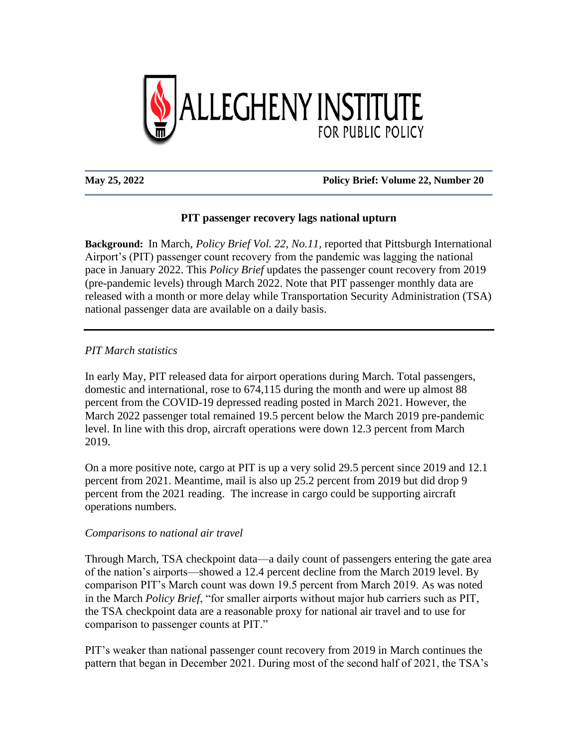

#### **May 25, 2022 Policy Brief: Volume 22, Number 20**

## **PIT passenger recovery lags national upturn**

**Background:** In March, *Policy Brief Vol. 22, No.11,* reported that Pittsburgh International Airport's (PIT) passenger count recovery from the pandemic was lagging the national pace in January 2022. This *Policy Brief* updates the passenger count recovery from 2019 (pre-pandemic levels) through March 2022. Note that PIT passenger monthly data are released with a month or more delay while Transportation Security Administration (TSA) national passenger data are available on a daily basis.

*PIT March statistics*

In early May, PIT released data for airport operations during March. Total passengers, domestic and international, rose to 674,115 during the month and were up almost 88 percent from the COVID-19 depressed reading posted in March 2021. However, the March 2022 passenger total remained 19.5 percent below the March 2019 pre-pandemic level. In line with this drop, aircraft operations were down 12.3 percent from March 2019.

On a more positive note, cargo at PIT is up a very solid 29.5 percent since 2019 and 12.1 percent from 2021. Meantime, mail is also up 25.2 percent from 2019 but did drop 9 percent from the 2021 reading. The increase in cargo could be supporting aircraft operations numbers.

### *Comparisons to national air travel*

Through March, TSA checkpoint data—a daily count of passengers entering the gate area of the nation's airports—showed a 12.4 percent decline from the March 2019 level. By comparison PIT's March count was down 19.5 percent from March 2019. As was noted in the March *Policy Brief*, "for smaller airports without major hub carriers such as PIT, the TSA checkpoint data are a reasonable proxy for national air travel and to use for comparison to passenger counts at PIT."

PIT's weaker than national passenger count recovery from 2019 in March continues the pattern that began in December 2021. During most of the second half of 2021, the TSA's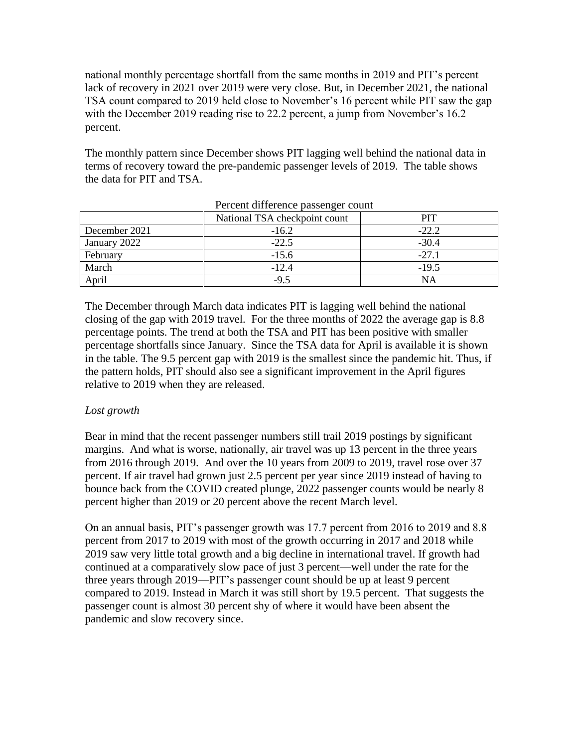national monthly percentage shortfall from the same months in 2019 and PIT's percent lack of recovery in 2021 over 2019 were very close. But, in December 2021, the national TSA count compared to 2019 held close to November's 16 percent while PIT saw the gap with the December 2019 reading rise to 22.2 percent, a jump from November's 16.2 percent.

The monthly pattern since December shows PIT lagging well behind the national data in terms of recovery toward the pre-pandemic passenger levels of 2019. The table shows the data for PIT and TSA.

|               | National TSA checkpoint count | PIT     |
|---------------|-------------------------------|---------|
| December 2021 | $-16.2$                       | $-22.2$ |
| January 2022  | $-22.5$                       | $-30.4$ |
| February      | $-15.6$                       | $-27.1$ |
| March         | $-12.4$                       | $-19.5$ |
| April         | $-9.5$                        | NΑ      |

Percent difference passenger count

The December through March data indicates PIT is lagging well behind the national closing of the gap with 2019 travel. For the three months of 2022 the average gap is 8.8 percentage points. The trend at both the TSA and PIT has been positive with smaller percentage shortfalls since January. Since the TSA data for April is available it is shown in the table. The 9.5 percent gap with 2019 is the smallest since the pandemic hit. Thus, if the pattern holds, PIT should also see a significant improvement in the April figures relative to 2019 when they are released.

# *Lost growth*

Bear in mind that the recent passenger numbers still trail 2019 postings by significant margins. And what is worse, nationally, air travel was up 13 percent in the three years from 2016 through 2019. And over the 10 years from 2009 to 2019, travel rose over 37 percent. If air travel had grown just 2.5 percent per year since 2019 instead of having to bounce back from the COVID created plunge, 2022 passenger counts would be nearly 8 percent higher than 2019 or 20 percent above the recent March level.

On an annual basis, PIT's passenger growth was 17.7 percent from 2016 to 2019 and 8.8 percent from 2017 to 2019 with most of the growth occurring in 2017 and 2018 while 2019 saw very little total growth and a big decline in international travel. If growth had continued at a comparatively slow pace of just 3 percent—well under the rate for the three years through 2019—PIT's passenger count should be up at least 9 percent compared to 2019. Instead in March it was still short by 19.5 percent. That suggests the passenger count is almost 30 percent shy of where it would have been absent the pandemic and slow recovery since.